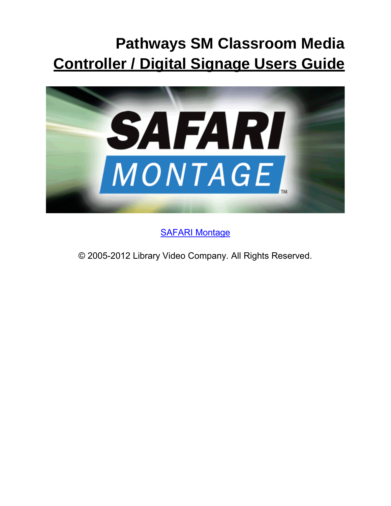# **Pathways SM Classroom Media Controller / Digital Signage Users Guide**



[SAFARI Montage](http://www.safarimontage.com/)

© 2005-2012 Library Video Company. All Rights Reserved.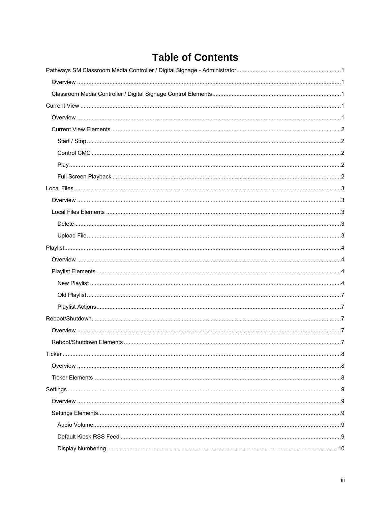# **Table of Contents**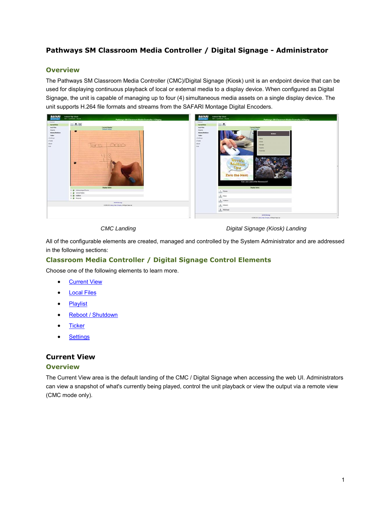# <span id="page-3-0"></span>**Pathways SM Classroom Media Controller / Digital Signage - Administrator**

# <span id="page-3-1"></span>**Overview**

The Pathways SM Classroom Media Controller (CMC)/Digital Signage (Kiosk) unit is an endpoint device that can be used for displaying continuous playback of local or external media to a display device. When configured as Digital Signage, the unit is capable of managing up to four (4) simultaneous media assets on a single display device. The unit supports H.264 file formats and streams from the SAFARI Montage Digital Encoders.



*CMC Landing Digital Signage (Kiosk) Landing*

All of the configurable elements are created, managed and controlled by the System Administrator and are addressed in the following sections:

# <span id="page-3-2"></span>**Classroom Media Controller / Digital Signage Control Elements**

Choose one of the following elements to learn more.

- **•** [Current View](#page-3-5)
- [Local Files](#page-5-5)
- [Playlist](#page-5-6)
- [Reboot / Shutdown](#page-9-5)
- [Ticker](#page-10-3)
- [Settings](#page-10-4)

# <span id="page-3-5"></span><span id="page-3-3"></span>**Current View**

#### <span id="page-3-4"></span>**Overview**

The Current View area is the default landing of the CMC / Digital Signage when accessing the web UI. Administrators can view a snapshot of what's currently being played, control the unit playback or view the output via a remote view (CMC mode only).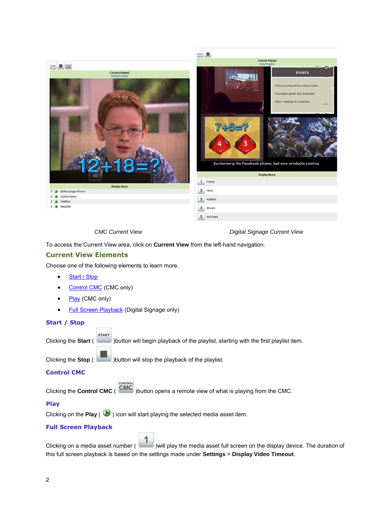

*CMC Current View Digital Signage Current View*

To access the Current View area, click on **Current View** from the left-hand navigation.

#### <span id="page-4-0"></span>**Current View Elements**

Choose one of the following elements to learn more.

- [Start / Stop](#page-4-1)
- [Control CMC](#page-4-2) (CMC only)

**START** 

- [Play](#page-4-3) (CMC only)
- [Full Screen Playback](#page-4-4) (Digital Signage only)

#### <span id="page-4-1"></span>**Start / Stop**

Clicking the **Start** ( )button will begin playback of the playlist, starting with the first playlist item.

Clicking the **Stop** ( )button will stop the playback of the playlist.

### <span id="page-4-2"></span>**Control CMC**

Clicking the **Control CMC** ( )button opens a remote view of what is playing from the CMC.

#### <span id="page-4-3"></span>**Play**

Clicking on the **Play** ( $\bullet$ ) icon will start playing the selected media asset item.

#### <span id="page-4-4"></span>**Full Screen Playback**

Clicking on a media asset number ( )will play the media asset full screen on the display device. The duration of this full screen playback is based on the settings made under **Settings** > **Display Video Timeout**.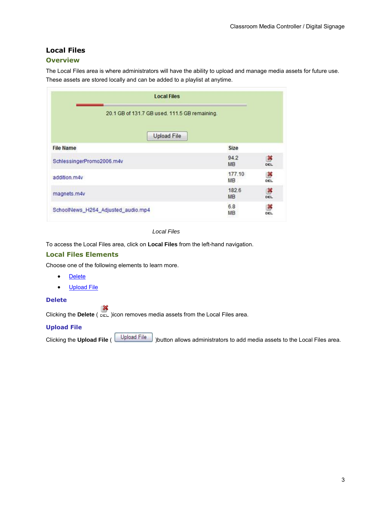# <span id="page-5-5"></span><span id="page-5-0"></span>**Local Files**

# <span id="page-5-1"></span>**Overview**

The Local Files area is where administrators will have the ability to upload and manage media assets for future use. These assets are stored locally and can be added to a playlist at anytime.

| <b>Local Files</b>                            |                    |               |
|-----------------------------------------------|--------------------|---------------|
| 20.1 GB of 131.7 GB used, 111.5 GB remaining. |                    |               |
| <b>Upload File</b>                            |                    |               |
| <b>File Name</b>                              | Size               |               |
| SchlessingerPromo2006.m4v                     | 94.2<br><b>MB</b>  | 等<br>DEL      |
| addition.m4v                                  | 177.10<br>MB       | ×<br>DEL      |
| magnets.m4v                                   | 182.6<br><b>MB</b> | $\frac{3}{2}$ |
| SchoolNews_H264_Adjusted_audio.mp4            | 6.8<br><b>MB</b>   | õ<br>DEL      |

*Local Files*

To access the Local Files area, click on **Local Files** from the left-hand navigation.

# <span id="page-5-2"></span>**Local Files Elements**

Choose one of the following elements to learn more.

- [Delete](#page-5-3)
- [Upload File](#page-5-4)

### <span id="page-5-3"></span>**Delete**

Clicking the **Delete** (  $_{\text{DEL}}$  )icon removes media assets from the Local Files area.

#### <span id="page-5-4"></span>**Upload File**

<span id="page-5-6"></span>Clicking the **Upload File** ( Upload File ) button allows administrators to add media assets to the Local Files area.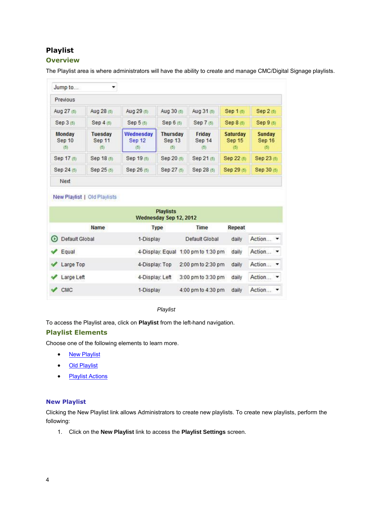# <span id="page-6-0"></span>**Playlist**

# <span id="page-6-1"></span>**Overview**

The Playlist area is where administrators will have the ability to create and manage CMC/Digital Signage playlists.

| Previous                |                                 |                            |                                  |                                                 |                                  |                                |
|-------------------------|---------------------------------|----------------------------|----------------------------------|-------------------------------------------------|----------------------------------|--------------------------------|
| Aug 27 (5)              | Aug 28 (5)                      | Aug 29 (5)                 | Aug 30 (5)                       | Aug 31 (5)                                      | Sep 1 (5)                        | Sep 2 (5)                      |
| Sep 3 (5)               | Sep 4 (5)                       | Sep 5 (5)                  | Sep 6 (5)                        | Sep 7 (5)                                       | Sep 8 (5)                        | Sep 9 (5)                      |
| Monday<br>Sep 10<br>(5) | <b>Tuesday</b><br>Sep 11<br>(5) | Wednesday<br>Sep 12<br>(5) | <b>Thursday</b><br>Sep 13<br>(5) | Friday<br>Sep 14<br>$\left(\overline{5}\right)$ | Saturday<br><b>Sep 15</b><br>(5) | <b>Sunday</b><br>Sep 16<br>(5) |
| Sep 17 (5)              | Sep 18 (5)                      | Sep 19 (5)                 | Sep 20 (5)                       | Sep 21 (5)                                      | Sep 22 (5)                       | Sep 23 (5)                     |
| Sep 24 (5)              | Sep 25 (5)                      | Sep 26 (5)                 | Sep 27 (5)                       | Sep 28 (5)                                      | Sep 29 (5)                       | Sep 30 (5)                     |

#### New Playlist | Old Playlists

|          |                | <b>Playlists</b><br>Wednesday Sep 12, 2012 |                                     |        |          |  |
|----------|----------------|--------------------------------------------|-------------------------------------|--------|----------|--|
|          | <b>Name</b>    | <b>Type</b>                                | Time                                | Repeat |          |  |
| $\Omega$ | Default Global | 1-Display                                  | Default Global                      | daily  | Action • |  |
|          | Equal          |                                            | 4-Display: Equal 1:00 pm to 1:30 pm | daily  | Action - |  |
|          | Large Top      | 4-Display: Top                             | 2:00 pm to 2:30 pm                  | daily  | Action - |  |
|          | Large Left     | 4-Display: Left                            | 3:00 pm to 3:30 pm                  | daily  | Action - |  |
|          | <b>CMC</b>     | 1-Display                                  | 4:00 pm to 4:30 pm                  | daily  | Action   |  |

#### *Playlist*

To access the Playlist area, click on **Playlist** from the left-hand navigation.

#### <span id="page-6-2"></span>**Playlist Elements**

Choose one of the following elements to learn more.

- [New Playlist](#page-6-4)
- [Old Playlist](#page-9-0)
- [Playlist Actions](#page-9-1)

#### <span id="page-6-4"></span><span id="page-6-3"></span>**New Playlist**

Clicking the New Playlist link allows Administrators to create new playlists. To create new playlists, perform the following:

1. Click on the **New Playlist** link to access the **Playlist Settings** screen.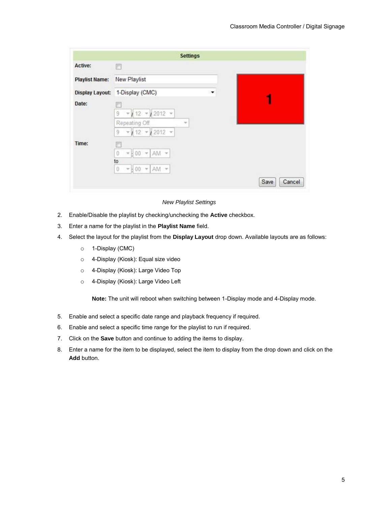|                       | <b>Settings</b>                                                                                    |   |                |
|-----------------------|----------------------------------------------------------------------------------------------------|---|----------------|
| Active:               | n                                                                                                  |   |                |
| <b>Playlist Name:</b> | <b>New Playlist</b>                                                                                |   |                |
|                       | Display Layout: 1-Display (CMC)                                                                    | ۰ |                |
| Date:                 |                                                                                                    |   |                |
|                       | $\rm g$<br>$12012 -$<br>112<br>$\pi$<br>$\mathcal{R}$<br>Repeating Off<br>$\overline{\phantom{a}}$ |   |                |
|                       | $-12$ $-12$ 2012 $-$<br>$\overline{9}$                                                             |   |                |
| Time:                 |                                                                                                    |   |                |
|                       | $\mathbf{0}$<br>$\star$ AM $\star$<br>00<br>R<br>$\omega$<br>to                                    |   |                |
|                       | $-00$ $-AM$ $-$<br>$\mathbf 0$                                                                     |   |                |
|                       |                                                                                                    |   | Save<br>Cancel |

*New Playlist Settings*

- 2. Enable/Disable the playlist by checking/unchecking the **Active** checkbox.
- 3. Enter a name for the playlist in the **Playlist Name** field.
- 4. Select the layout for the playlist from the **Display Layout** drop down. Available layouts are as follows:
	- o 1-Display (CMC)
	- o 4-Display (Kiosk): Equal size video
	- o 4-Display (Kiosk): Large Video Top
	- o 4-Display (Kiosk): Large Video Left

**Note:** The unit will reboot when switching between 1-Display mode and 4-Display mode.

- 5. Enable and select a specific date range and playback frequency if required.
- 6. Enable and select a specific time range for the playlist to run if required.
- 7. Click on the **Save** button and continue to adding the items to display.
- 8. Enter a name for the item to be displayed, select the item to display from the drop down and click on the **Add** button.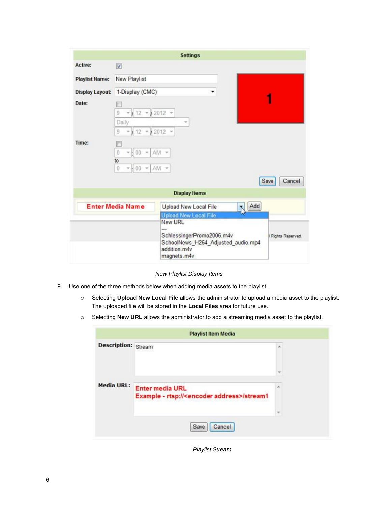|                       |                                                                 | <b>Settings</b>                                                                                                                                                                             |                       |
|-----------------------|-----------------------------------------------------------------|---------------------------------------------------------------------------------------------------------------------------------------------------------------------------------------------|-----------------------|
| <b>Active:</b>        | $\blacktriangledown$                                            |                                                                                                                                                                                             |                       |
| <b>Playlist Name:</b> | New Playlist                                                    |                                                                                                                                                                                             |                       |
|                       | Display Layout: 1-Display (CMC)                                 |                                                                                                                                                                                             |                       |
| Date:                 | 12<br>9<br>Daily<br>12<br>9                                     | $-12012 -$<br>v<br>12012                                                                                                                                                                    |                       |
| Time:                 | ö<br>00<br>$\tau$<br>to<br>0<br><b>HOO</b><br>$\mathbf{v}$<br>v | AM -<br>AM -                                                                                                                                                                                | <b>Save</b><br>Cancel |
|                       |                                                                 | <b>Display Items</b>                                                                                                                                                                        |                       |
|                       | <b>Enter Media Name</b>                                         | Add<br>Upload New Local File<br>N<br><b>Upload New Local File</b><br><b>New URL</b><br>--<br>SchlessingerPromo2006.m4v<br>SchoolNews_H264_Adjusted_audio.mp4<br>addition.m4v<br>magnets.m4v | Rights Reserved.      |

*New Playlist Display Items*

- 9. Use one of the three methods below when adding media assets to the playlist.
	- o Selecting **Upload New Local File** allows the administrator to upload a media asset to the playlist. The uploaded file will be stored in the **Local Files** area for future use.
	- o Selecting **New URL** allows the administrator to add a streaming media asset to the playlist.

|                            | <b>Playlist Item Media</b>                                                         |   |
|----------------------------|------------------------------------------------------------------------------------|---|
| <b>Description: Stream</b> |                                                                                    | × |
|                            |                                                                                    |   |
| <b>Media URL:</b>          | <b>Enter media URL</b><br>Example - rtsp:// <encoder address="">/stream1</encoder> | × |
|                            |                                                                                    |   |
|                            | Cancel<br>Save                                                                     |   |

*Playlist Stream*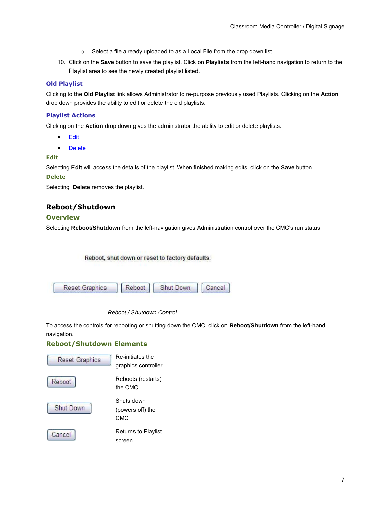- o Select a file already uploaded to as a Local File from the drop down list.
- 10. Click on the **Save** button to save the playlist. Click on **Playlists** from the left-hand navigation to return to the Playlist area to see the newly created playlist listed.

#### <span id="page-9-0"></span>**Old Playlist**

Clicking to the **Old Playlist** link allows Administrator to re-purpose previously used Playlists. Clicking on the **Action** drop down provides the ability to edit or delete the old playlists.

#### <span id="page-9-1"></span>**Playlist Actions**

Clicking on the **Action** drop down gives the administrator the ability to edit or delete playlists.

- **[Edit](#page-9-6)**
- **[Delete](#page-9-7)**

#### <span id="page-9-6"></span>**Edit**

Selecting **Edit** will access the details of the playlist. When finished making edits, click on the **Save** button.

#### <span id="page-9-7"></span>**Delete**

<span id="page-9-5"></span>Selecting **Delete** removes the playlist.

# <span id="page-9-2"></span>**Reboot/Shutdown**

#### <span id="page-9-3"></span>**Overview**

Selecting **Reboot/Shutdown** from the left-navigation gives Administration control over the CMC's run status.

Reboot, shut down or reset to factory defaults.



#### *Reboot / Shutdown Control*

To access the controls for rebooting or shutting down the CMC, click on **Reboot/Shutdown** from the left-hand navigation.

#### <span id="page-9-4"></span>**Reboot/Shutdown Elements**

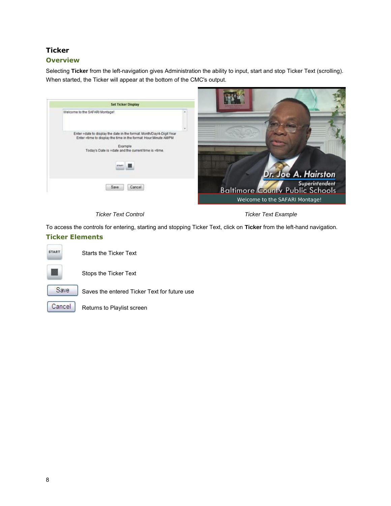# <span id="page-10-3"></span><span id="page-10-0"></span>**Ticker**

# <span id="page-10-1"></span>**Overview**

Selecting **Ticker** from the left-navigation gives Administration the ability to input, start and stop Ticker Text (scrolling). When started, the Ticker will appear at the bottom of the CMC's output.

| <b>Set Ticker Display</b>                                                                                                                |                                |                     |
|------------------------------------------------------------------------------------------------------------------------------------------|--------------------------------|---------------------|
| Welcome to the SAFARI Montage!                                                                                                           |                                |                     |
|                                                                                                                                          |                                |                     |
| Enter =date to display the date in the format: Month/Day/4-Digit Year<br>Enter =time to display the time in the format: Hour:Minute AMPM |                                |                     |
| Example                                                                                                                                  |                                |                     |
| Today's Date is =date and the current time is =time.                                                                                     |                                |                     |
|                                                                                                                                          |                                |                     |
|                                                                                                                                          |                                | Dr. Joe A. Hairston |
|                                                                                                                                          |                                |                     |
| Save<br>Cancel                                                                                                                           | Superintendent                 |                     |
|                                                                                                                                          | Welcome to the SAFARI Montage! |                     |

*Ticker Text Control Ticker Text Example*

To access the controls for entering, starting and stopping Ticker Text, click on **Ticker** from the left-hand navigation.

# <span id="page-10-2"></span>**Ticker Elements**



Starts the Ticker Text



Stops the Ticker Text



Saves the entered Ticker Text for future use

<span id="page-10-4"></span>

Returns to Playlist screen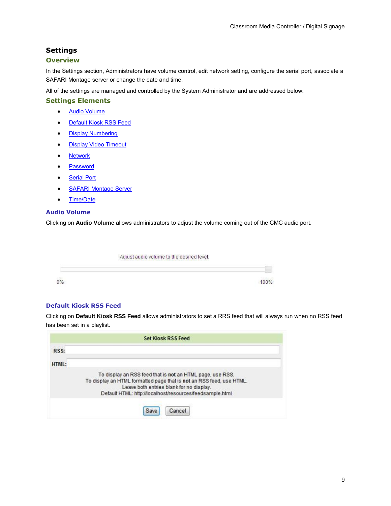# <span id="page-11-0"></span>**Settings**

# <span id="page-11-1"></span>**Overview**

In the Settings section, Administrators have volume control, edit network setting, configure the serial port, associate a SAFARI Montage server or change the date and time.

All of the settings are managed and controlled by the System Administrator and are addressed below:

#### <span id="page-11-2"></span>**Settings Elements**

- [Audio Volume](#page-11-3)
- [Default Kiosk RSS Feed](#page-11-4)
- [Display Numbering](#page-11-5)
- [Display Video Timeout](#page-12-1)
- [Network](file:///Z:/SAFARI_Montage/Help/Pathways/CMC/network)
- [Password](#page-13-1)
- [Serial Port](#page-14-1)
- [SAFARI Montage Server](file:///Z:/SAFARI_Montage/Help/Pathways/CMC/sm_server)
- [Time/Date](file:///Z:/SAFARI_Montage/Help/Pathways/CMC/time_date)

#### <span id="page-11-3"></span>**Audio Volume**

Clicking on **Audio Volume** allows administrators to adjust the volume coming out of the CMC audio port.

| Adjust audio volume to the desired level. |
|-------------------------------------------|
|                                           |
|                                           |

#### <span id="page-11-4"></span>**Default Kiosk RSS Feed**

Clicking on **Default Kiosk RSS Feed** allows administrators to set a RRS feed that will always run when no RSS feed has been set in a playlist.

<span id="page-11-5"></span>

| RSS:         |                                                                                                                                                                                                                                           |
|--------------|-------------------------------------------------------------------------------------------------------------------------------------------------------------------------------------------------------------------------------------------|
| <b>HTML:</b> |                                                                                                                                                                                                                                           |
|              | To display an RSS feed that is not an HTML page, use RSS.<br>To display an HTML formatted page that is not an RSS feed, use HTML.<br>Leave both entries blank for no display.<br>Default HTML: http://localhost/resources/feedsample.html |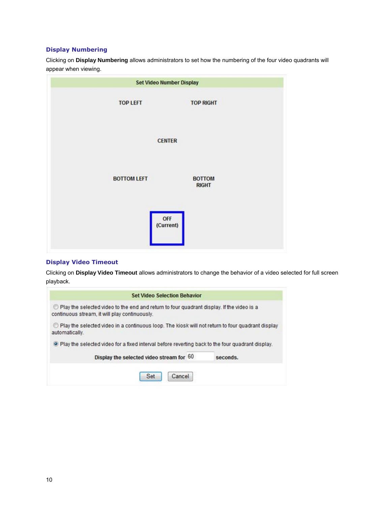#### <span id="page-12-0"></span>**Display Numbering**

Clicking on **Display Numbering** allows administrators to set how the numbering of the four video quadrants will appear when viewing.



#### <span id="page-12-1"></span>**Display Video Timeout**

Clicking on **Display Video Timeout** allows administrators to change the behavior of a video selected for full screen playback.

| <b>Set Video Selection Behavior</b>                                                                                                        |  |
|--------------------------------------------------------------------------------------------------------------------------------------------|--|
| Play the selected video to the end and return to four quadrant display. If the video is a<br>continuous stream, it will play continuously. |  |
| Play the selected video in a continuous loop. The kiosk will not return to four quadrant display<br>automatically.                         |  |
| . Play the selected video for a fixed interval before reverting back to the four quadrant display.                                         |  |
|                                                                                                                                            |  |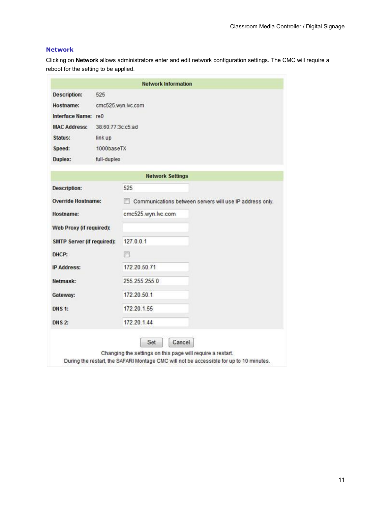# <span id="page-13-0"></span>**Network**

Clicking on **Network** allows administrators enter and edit network configuration settings. The CMC will require a reboot for the setting to be applied.

<span id="page-13-1"></span>

|                                   |                   | <b>Network Information</b>                               |  |  |
|-----------------------------------|-------------------|----------------------------------------------------------|--|--|
| <b>Description:</b>               | 525               |                                                          |  |  |
| Hostname:                         |                   | cmc525.wyn.lvc.com                                       |  |  |
| Interface Name: re0               |                   |                                                          |  |  |
| <b>MAC Address:</b>               | 38:60:77:3c:c5:ad |                                                          |  |  |
| Status:                           | link up           |                                                          |  |  |
| Speed:                            | 1000baseTX        |                                                          |  |  |
| Duplex:                           | full-duplex       |                                                          |  |  |
|                                   |                   | <b>Network Settings</b>                                  |  |  |
| <b>Description:</b>               |                   | 525                                                      |  |  |
| <b>Override Hostname:</b>         |                   | Communications between servers will use IP address only. |  |  |
| Hostname:                         |                   | cmc525.wyn.lvc.com                                       |  |  |
| Web Proxy (if required):          |                   |                                                          |  |  |
| <b>SMTP Server (if required):</b> |                   | 127.0.0.1                                                |  |  |
| DHCP:                             |                   | 同                                                        |  |  |
| <b>IP Address:</b>                |                   | 172.20.50.71                                             |  |  |
| Netmask:                          |                   | 255.255.255.0                                            |  |  |
| Gateway:                          |                   | 172.20.50.1                                              |  |  |
| <b>DNS 1:</b>                     |                   | 172.20.1.55                                              |  |  |
| <b>DNS 2:</b>                     |                   | 172.20.1.44                                              |  |  |
|                                   |                   | Cancel<br>Set                                            |  |  |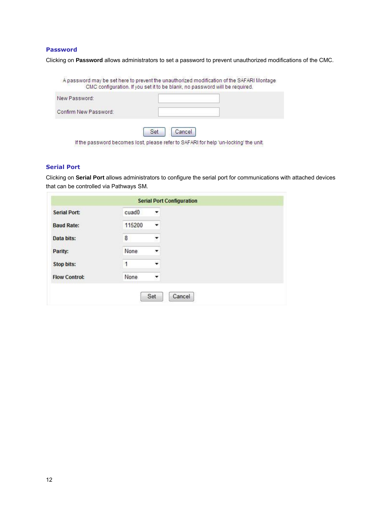#### <span id="page-14-0"></span>**Password**

Clicking on **Password** allows administrators to set a password to prevent unauthorized modifications of the CMC.

|                       | A password may be set here to prevent the unauthorized modification of the SAFARI Montage<br>CMC configuration. If you set it to be blank, no password will be required. |
|-----------------------|--------------------------------------------------------------------------------------------------------------------------------------------------------------------------|
| New Password:         |                                                                                                                                                                          |
| Confirm New Password: |                                                                                                                                                                          |
|                       | Cancel<br>Set                                                                                                                                                            |
|                       | If the password becomes lost, please refer to SAFARI for help 'un-locking' the unit.                                                                                     |

# <span id="page-14-1"></span>**Serial Port**

m

Clicking on **Serial Port** allows administrators to configure the serial port for communications with attached devices that can be controlled via Pathways SM.

|                      |                   | <b>Serial Port Configuration</b> |
|----------------------|-------------------|----------------------------------|
| <b>Serial Port:</b>  | cuad <sub>0</sub> | ▼                                |
| <b>Baud Rate:</b>    | 115200            | ٠                                |
| Data bits:           | 8                 | ۰                                |
| Parity:              | None              | ۰                                |
| <b>Stop bits:</b>    | 1                 | ۰                                |
| <b>Flow Control:</b> | None              | $\overline{\phantom{a}}$         |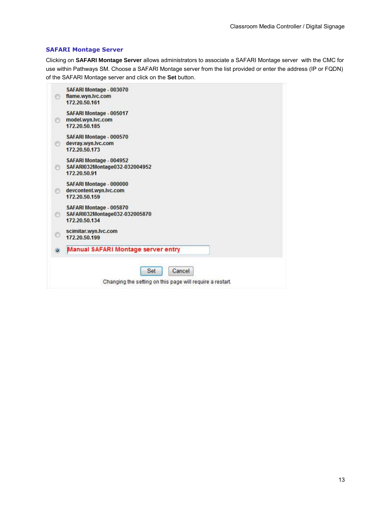#### <span id="page-15-0"></span>**SAFARI Montage Server**

Clicking on **SAFARI Montage Server** allows administrators to associate a SAFARI Montage server with the CMC for use within Pathways SM. Choose a SAFARI Montage server from the list provided or enter the address (IP or FQDN) of the SAFARI Montage server and click on the **Set** button.

|         | SAFARI Montage - 003070<br>flame.wyn.lvc.com<br>172.20.50.161                |
|---------|------------------------------------------------------------------------------|
| Ø       | SAFARI Montage - 005017<br>model.wyn.lvc.com<br>172.20.50.185                |
| o       | SAFARI Montage - 000570<br>devray.wyn.lvc.com<br>172.20.50.173               |
| O       | SAFARI Montage - 004952<br>SAFARI032Montage032-032004952<br>172,20,50,91     |
| 6       | SAFARI Montage - 000000<br>devcontent.wyn.lvc.com<br>172.20.50.159           |
| ∩       | SAFARI Montage - 005870<br>SAFARI032Montage032-032005870<br>172, 20, 50, 134 |
| ◎       | scimitar.wyn.lvc.com<br>172.20.50.199                                        |
| $\circ$ | <b>Manual SAFARI Montage server entry</b>                                    |